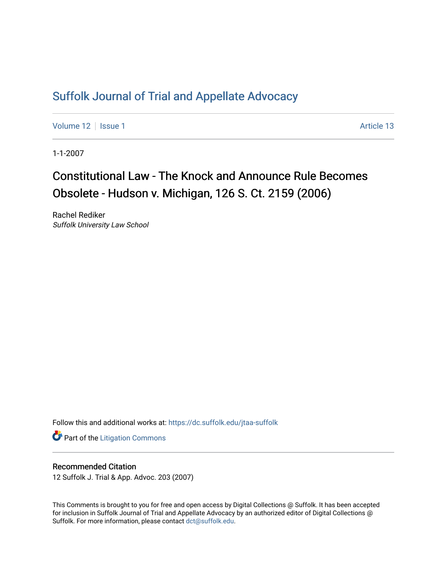## [Suffolk Journal of Trial and Appellate Advocacy](https://dc.suffolk.edu/jtaa-suffolk)

[Volume 12](https://dc.suffolk.edu/jtaa-suffolk/vol12) | [Issue 1](https://dc.suffolk.edu/jtaa-suffolk/vol12/iss1) Article 13

1-1-2007

# Constitutional Law - The Knock and Announce Rule Becomes Obsolete - Hudson v. Michigan, 126 S. Ct. 2159 (2006)

Rachel Rediker Suffolk University Law School

Follow this and additional works at: [https://dc.suffolk.edu/jtaa-suffolk](https://dc.suffolk.edu/jtaa-suffolk?utm_source=dc.suffolk.edu%2Fjtaa-suffolk%2Fvol12%2Fiss1%2F13&utm_medium=PDF&utm_campaign=PDFCoverPages) 

**Part of the [Litigation Commons](https://network.bepress.com/hgg/discipline/910?utm_source=dc.suffolk.edu%2Fjtaa-suffolk%2Fvol12%2Fiss1%2F13&utm_medium=PDF&utm_campaign=PDFCoverPages)** 

#### Recommended Citation

12 Suffolk J. Trial & App. Advoc. 203 (2007)

This Comments is brought to you for free and open access by Digital Collections @ Suffolk. It has been accepted for inclusion in Suffolk Journal of Trial and Appellate Advocacy by an authorized editor of Digital Collections @ Suffolk. For more information, please contact [dct@suffolk.edu.](mailto:dct@suffolk.edu)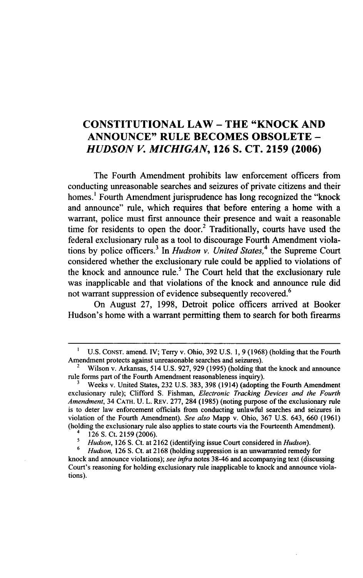### **CONSTITUTIONAL LAW - THE "KNOCK AND ANNOUNCE" RULE BECOMES OBSOLETE -** *HUDSON V. MICHIGAN,* **126 S. CT. 2159 (2006)**

The Fourth Amendment prohibits law enforcement officers from conducting unreasonable searches and seizures of private citizens and their homes.<sup>1</sup> Fourth Amendment jurisprudence has long recognized the "knock" and announce" rule, which requires that before entering a home with a warrant, police must first announce their presence and wait a reasonable time for residents to open the door.<sup>2</sup> Traditionally, courts have used the federal exclusionary rule as a tool to discourage Fourth Amendment violations by police officers.3 In *Hudson v. United States,4* the Supreme Court considered whether the exclusionary rule could be applied to violations of the knock and announce rule.<sup>5</sup> The Court held that the exclusionary rule was inapplicable and that violations of the knock and announce rule did not warrant suppression of evidence subsequently recovered.<sup>6</sup>

On August 27, 1998, Detroit police officers arrived at Booker Hudson's home with a warrant permitting them to search for both firearms

U.S. CONST. amend. IV; Terry v. Ohio, 392 U.S. 1, 9 (1968) (holding that the Fourth Amendment protects against unreasonable searches and seizures).

<sup>2</sup>Wilson v. Arkansas, 514 U.S. 927, 929 (1995) (holding that the knock and announce rule forms part of the Fourth Amendment reasonableness inquiry).

**<sup>3</sup>**Weeks v. United States, 232 U.S. 383, 398 (1914) (adopting the Fourth Amendment exclusionary rule); Clifford S. Fishman, *Electronic Tracking Devices and the Fourth Amendment,* 34 **CATH.** U. L. REv. 277, 284 (1985) (noting purpose of the exclusionary rule is to deter law enforcement officials from conducting unlawful searches and seizures in violation of the Fourth Amendment). *See also* Mapp v. Ohio, 367 U.S. 643, 660 (1961) (holding the exclusionary rule also applies to state courts via the Fourteenth Amendment).

 $^{4}$  126 S. Ct. 2159 (2006).

*<sup>5</sup> Hudson,* 126 **S.** Ct. at 2162 (identifying issue Court considered in *Hudson).*

**<sup>6</sup>***Hudson,* 126 S. Ct. at 2168 (holding suppression is an unwarranted remedy for knock and announce violations); *see infra* notes 38-46 and accompanying text (discussing Court's reasoning for holding exclusionary rule inapplicable to knock and announce violations).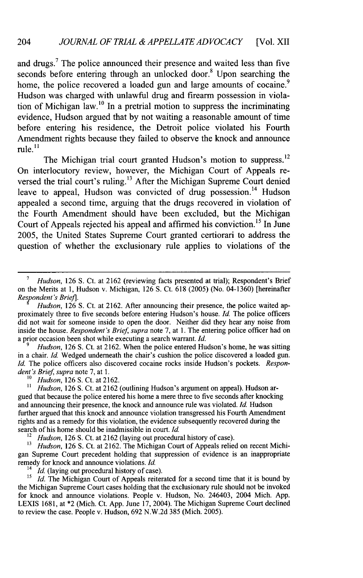and drugs.<sup>7</sup> The police announced their presence and waited less than five seconds before entering through an unlocked door.<sup>8</sup> Upon searching the home, the police recovered a loaded gun and large amounts of cocaine.<sup>9</sup> Hudson was charged with unlawful drug and firearm possession in violation of Michigan law.<sup>10</sup> In a pretrial motion to suppress the incriminating evidence, Hudson argued that by not waiting a reasonable amount of time before entering his residence, the Detroit police violated his Fourth Amendment rights because they failed to observe the knock and announce rule. **"**

The Michigan trial court granted Hudson's motion to suppress.<sup>12</sup> On interlocutory review, however, the Michigan Court of Appeals reversed the trial court's ruling.<sup>13</sup> After the Michigan Supreme Court denied leave to appeal, Hudson was convicted of drug possession.<sup>14</sup> Hudson appealed a second time, arguing that the drugs recovered in violation of the Fourth Amendment should have been excluded, but the Michigan Court of Appeals rejected his appeal and affirmed his conviction.<sup>15</sup> In June 2005, the United States Supreme Court granted certiorari to address the question of whether the exclusionary rule applies to violations of the

*Hudson*, 126 S. Ct. at 2162. When the police entered Hudson's home, he was sitting in a chair. *Id.* Wedged underneath the chair's cushion the police discovered a loaded gun. *Id.* The police officers also discovered cocaine rocks inside Hudson's pockets. *Respondent's Brief supra* note 7, at 1.

<sup>10</sup> *Hudson*, 126 S. Ct. at 2162.

*11 Hudson,* 126 **S.** Ct. at 2162 (outlining Hudson's argument on appeal). Hudson argued that because the police entered his home a mere three to five seconds after knocking and announcing their presence, the knock and announce rule was violated. *Id.* Hudson further argued that this knock and announce violation transgressed his Fourth Amendment rights and as a remedy for this violation, the evidence subsequently recovered during the search of his home should be inadmissible in court. *Id.*

<sup>12</sup> Hudson, 126 S. Ct. at 2162 (laying out procedural history of case).

<sup>13</sup> *Hudson*, 126 S. Ct. at 2162. The Michigan Court of Appeals relied on recent Michigan Supreme Court precedent holding that suppression of evidence is an inappropriate remedy for knock and announce violations. *Id.*

<sup>14</sup> *Id.* (laying out procedural history of case).

*5*<br>*5 Id.* The Michigan Court of Appeals reiterated for a second time that it is bound by the Michigan Supreme Court cases holding that the exclusionary rule should not be invoked for knock and announce violations. People v. Hudson, No. 246403, 2004 Mich. App. LEXIS 1681, at \*2 (Mich. Ct. App. June 17, 2004). The Michigan Supreme Court declined to review the case. People v. Hudson, 692 N.W.2d 385 (Mich. 2005).

*Hudson*, 126 S. Ct. at 2162 (reviewing facts presented at trial); Respondent's Brief on the Merits at 1, Hudson v. Michigan, 126 S. Ct. 618 (2005) (No. 04-1360) [hereinafter *Resepondent's Brie].*

*Hudson,* 126 S. Ct. at 2162. After announcing their presence, the police waited approximately three to five seconds before entering Hudson's house. *Id.* The police officers did not wait for someone inside to open the door. Neither did they hear any noise from inside the house. *Respondent's Brief, supra* note 7, at 1. The entering police officer had on a prior occasion been shot while executing a search warrant. *Id.*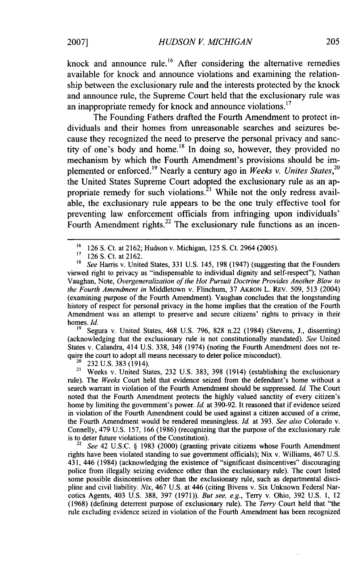knock and announce rule.<sup>16</sup> After considering the alternative remedies available for knock and announce violations and examining the relationship between the exclusionary rule and the interests protected by the knock and announce rule, the Supreme Court held that the exclusionary rule was an inappropriate remedy for knock and announce violations.<sup>17</sup>

The Founding Fathers drafted the Fourth Amendment to protect individuals and their homes from unreasonable searches and seizures because they recognized the need to preserve the personal privacy and sanctity of one's body and home.<sup>18</sup> In doing so, however, they provided no mechanism by which the Fourth Amendment's provisions should be implemented or enforced.<sup>19</sup> Nearly a century ago in *Weeks v. Unites States*,<sup>20</sup> the United States Supreme Court adopted the exclusionary rule as an appropriate remedy for such violations.<sup>21</sup> While not the only redress available, the exclusionary rule appears to be the one truly effective tool for preventing law enforcement officials from infringing upon individuals' Fourth Amendment rights.<sup>22</sup> The exclusionary rule functions as an incen-

19 Segura v. United States, 468 U.S. 796, 828 n.22 (1984) (Stevens, J., dissenting) (acknowledging that the exclusionary rule is not constitutionally mandated). *See* United States v. Calandra, 414 U.S. 338, 348 (1974) (noting the Fourth Amendment does not require the court to adopt all means necessary to deter police misconduct).

232 U.S. 383 (1914).

<sup>21</sup> Weeks v. United States, 232 U.S. 383, 398 (1914) (establishing the exclusionary rule). The *Weeks* Court held that evidence seized from the defendant's home without a search warrant in violation of the Fourth Amendment should be suppressed. *Id.* The Court noted that the Fourth Amendment protects the highly valued sanctity of every citizen's home by limiting the government's power. Id. at 390-92. It reasoned that if evidence seized in violation of the Fourth Amendment could be used against a citizen accused of a crime, the Fourth Amendment would be rendered meaningless. *Id.* at 393. *See also* Colorado v. Connelly, 479 U.S. 157, 166 (1986) (recognizing that the purpose of the exclusionary rule is to deter future violations of the Constitution).

See 42 U.S.C. § 1983 (2000) (granting private citizens whose Fourth Amendment rights have been violated standing to sue government officials); Nix v. Williams, 467 U.S. 431, 446 (1984) (acknowledging the existence of "significant disincentives" discouraging police from illegally seizing evidence other than the exclusionary rule). The court listed some possible disincentives other than the exclusionary rule, such as departmental discipline and civil liability. *Nix,* 467 U.S. at 446 (citing Bivens v. Six Unknown Federal Narcotics Agents, 403 U.S. 388, 397 (1971)). *But see, e.g.,* Terry v. Ohio, 392 U.S. 1, 12 (1968) (defining deterrent purpose of exclusionary rule). The *Terry* Court held that "the rule excluding evidence seized in violation of the Fourth Amendment has been recognized

<sup>16</sup> 126 S. Ct. at 2162; Hudson v. Michigan, 125 **S.** Ct. 2964 (2005).

<sup>17 126</sup> S. Ct. at 2162.<br><sup>18</sup> See Hawis v. Units

<sup>18</sup>*See* Harris v. United States, 331 U.S. 145, 198 (1947) (suggesting that the Founders viewed right to privacy as "indispensable to individual dignity and self-respect"); Nathan Vaughan, Note, *Overgeneralization of the Hot Pursuit Doctrine Provides Another Blow to the Fourth Amendment in* Middletown v. Flinchum, 37 AKRON L. REV. 509, 513 (2004) (examining purpose of the Fourth Amendment). Vaughan concludes that the longstanding history of respect for personal privacy in the home implies that the creation of the Fourth Amendment was an attempt to preserve and secure citizens' rights to privacy in their homes. *Id.*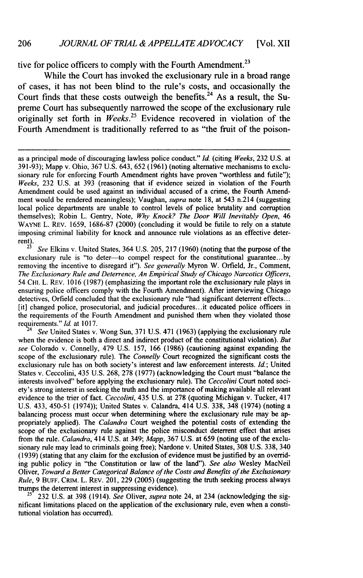tive for police officers to comply with the Fourth Amendment.<sup>23</sup>

While the Court has invoked the exclusionary rule in a broad range of cases, it has not been blind to the rule's costs, and occasionally the Court finds that these costs outweigh the benefits.<sup>24</sup> As a result, the Supreme Court has subsequently narrowed the scope of the exclusionary rule originally set forth in *Weeks.<sup>25</sup>*Evidence recovered in violation of the Fourth Amendment is traditionally referred to as "the fruit of the poison-

exclusionary rule is "to deter-to compel respect for the constitutional guarantee...by removing the incentive to disregard it"). *See generally* Myron W. Orfield, Jr., Comment, *The Exclusionary Rule and Deterrence, An Empirical Study of Chicago Narcotics Officers,* 54 **CHI.** L. REv. 1016 (1987) (emphasizing the important role the exclusionary rule plays in ensuring police officers comply with the Fourth Amendment). After interviewing Chicago detectives, Orfield concluded that the exclusionary rule "had significant deterrent effects... [it] changed police, prosecutorial, and judicial procedures.. .it educated police officers in the requirements of the Fourth Amendment and punished them when they violated those requirements." Id. at 1017.

*See* United States v. Wong Sun, 371 U.S. 471 (1963) (applying the exclusionary rule when the evidence is both a direct and indirect product of the constitutional violation). *But see* Colorado v. Connelly, 479 U.S. 157, 166 (1986) (cautioning against expanding the scope of the exclusionary rule). The *Connelly* Court recognized the significant costs the exclusionary rule has on both society's interest and law enforcement interests. *Id;* United States v. Ceccolini, 435 U.S. 268, 278 (1977) (acknowledging the Court must "balance the interests involved" before applying the exclusionary rule). The *Ceccolini* Court noted society's strong interest in seeking the truth and the importance of making available all relevant evidence to the trier of fact. *Ceccolini,* 435 U.S. at 278 (quoting Michigan v. Tucker, 417 U.S. 433, 450-51 (1974)); United States v. Calandra, 414 U.S. 338, 348 (1974) (noting a balancing process must occur when determining where the exclusionary rule may be appropriately applied). The *Calandra* Court weighed the potential costs of extending the scope of the exclusionary rule against the police misconduct deterrent effect that arises from the rule. *Calandra,* 414 U.S. at 349; *Mapp,* 367 U.S. at 659 (noting use of the exclusionary rule may lead to criminals going free); Nardone v. United States, 308 U.S. 338, 340 (1939) (stating that any claim for the exclusion of evidence must be justified by an overriding public policy in "the Constitution or law of the land"). *See also* Wesley MacNeil Oliver, *Toward a Better Categorical Balance of the Costs and Benefits of the Exclusionary Rule,* 9 **BUFF.** CRIM. L. REv. 201, 229 (2005) (suggesting the truth seeking process always trumps the deterrent interest in suppressing evidence).

**25** 232 U.S. at 398 (1914). *See* Oliver, *supra* note 24, at 234 (acknowledging the significant limitations placed on the application of the exclusionary rule, even when a constitutional violation has occurred).

as a principal mode of discouraging lawless police conduct." *Id.* (citing *Weeks,* 232 U.S. at 391-93); Mapp v. Ohio, 367 U.S. 643, 652 (1961) (noting alternative mechanisms to exclusionary rule for enforcing Fourth Amendment rights have proven "worthless and futile"); *Weeks,* 232 U.S. at 393 (reasoning that if evidence seized in violation of the Fourth Amendment could be used against an individual accused of a crime, the Fourth Amendment would be rendered meaningless); Vaughan, *supra* note 18, at 543 n.214 (suggesting local police departments are unable to control levels of police brutality and corruption themselves); Robin L. Gentry, Note, *Why Knock? The Door Will Inevitably Open,* 46 WAYNE L. REv. 1659, 1686-87 (2000) (concluding it would be futile to rely on a statute imposing criminal liability for knock and announce rule violations as an effective deterrent).<br><sup>23</sup> See Elkins v. United States, 364 U.S. 205, 217 (1960) (noting that the purpose of the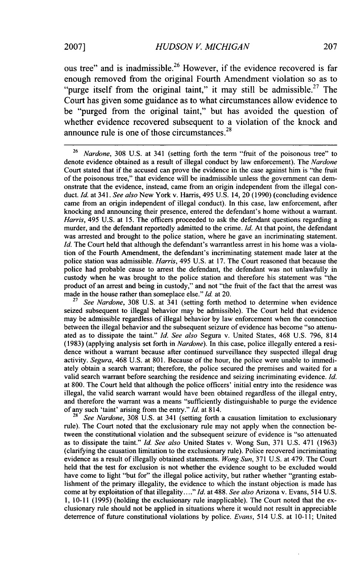ous tree" and is inadmissible.<sup>26</sup> However, if the evidence recovered is far enough removed from the original Fourth Amendment violation so as to "purge itself from the original taint," it may still be admissible.<sup>27</sup> The Court has given some guidance as to what circumstances allow evidence to be "purged from the original taint," but has avoided the question of whether evidence recovered subsequent to a violation of the knock and announce rule is one of those circumstances.<sup>28</sup>

<sup>26</sup>*Nardone,* 308 U.S. at 341 (setting forth the term "fruit of the poisonous tree" to denote evidence obtained as a result of illegal conduct by law enforcement). The *Nardone* Court stated that if the accused can prove the evidence in the case against him is "the fruit of the poisonous tree," that evidence will be inadmissible unless the government can demonstrate that the evidence, instead, came from an origin independent from the illegal conduct. *Id.* at 341. *See also* New York v. Harris, 495 U.S. 14, 20 (1990) (concluding evidence came from an origin independent of illegal conduct). In this case, law enforcement, after knocking and announcing their presence, entered the defendant's home without a warrant. *Harris,* 495 U.S. at 15. The officers proceeded to ask the defendant questions regarding a murder, and the defendant reportedly admitted to the crime. *Id.* At that point, the defendant was arrested and brought to the police station, where he gave an incriminating statement. *Id.* The Court held that although the defendant's warrantless arrest in his home was a violation of the Fourth Amendment, the defendant's incriminating statement made later at the police station was admissible. *Harris,* 495 U.S. at 17. The Court reasoned that because the police had probable cause to arrest the defendant, the defendant was not unlawfully in custody when he was brought to the police station and therefore his statement was "the product of an arrest and being in custody," and not "the fruit of the fact that the arrest was made in the house rather than someplace else." Id. at 20.

See Nardone, 308 U.S. at 341 (setting forth method to determine when evidence seized subsequent to illegal behavior may be admissible). The Court held that evidence may be admissible regardless of illegal behavior by law enforcement when the connection between the illegal behavior and the subsequent seizure of evidence has become "so attenuated as to dissipate the taint." *Id. See also* Segura v. United States, 468 U.S. 796, 814 (1983) (applying analysis set forth in *Nardone).* In this case, police illegally entered a residence without a warrant because after continued surveillance they suspected illegal drug activity. *Segura,* 468 U.S. at 801. Because of the hour, the police were unable to immediately obtain a search warrant; therefore, the police secured the premises and waited for a valid search warrant before searching the residence and seizing incriminating evidence. *Id.* at 800. The Court held that although the police officers' initial entry into the residence was illegal, the valid search warrant would have been obtained regardless of the illegal entry, and therefore the warrant was a means "sufficiently distinguishable to purge the evidence of any such 'taint' arising from the entry." *Id.* at 814.

**<sup>28</sup>***See Nardone,* 308 U.S. at 341 (setting forth a causation limitation to exclusionary rule). The Court noted that the exclusionary rule may not apply when the connection between the constitutional violation and the subsequent seizure of evidence is "so attenuated as to dissipate the taint." *Id. See also* United States v. Wong Sun, 371 U.S. 471 (1963) (clarifying the causation limitation to the exclusionary rule). Police recovered incriminating evidence as a result of illegally obtained statements. *Wong Sun,* 371 U.S. at 479. The Court held that the test for exclusion is not whether the evidence sought to be excluded would have come to light "but for" the illegal police activity, but rather whether "granting establishment of the primary illegality, the evidence to which the instant objection is made has come at by exploitation of that illegality...."Id. at 488. *See also* Arizona v. Evans, 514 U.S. 1, 10-11 (1995) (holding the exclusionary rule inapplicable). The Court noted that the exclusionary rule should not be applied in situations where it would not result in appreciable deterrence of future constitutional violations by police. *Evans,* 514 U.S. at 10-11; United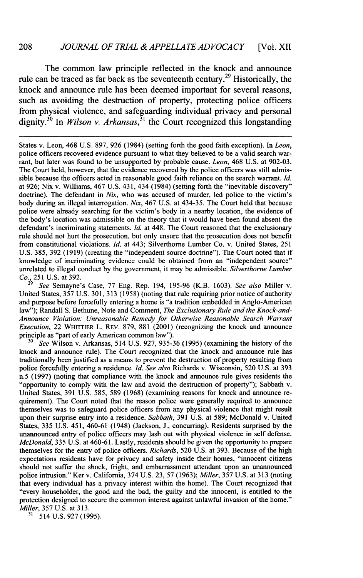#### 208 *JOURNAL OF TRIAL & APPELLATE ADVOCACY* [Vol. XII

The common law principle reflected in the knock and announce rule can be traced as far back as the seventeenth century.<sup>29</sup> Historically, the knock and announce rule has been deemed important for several reasons, such as avoiding the destruction of property, protecting police officers from physical violence, and safeguarding individual privacy and personal dignity.30 In *Wilson v. Arkansas,<sup>31</sup>*the Court recognized this longstanding

States v. Leon, 468 U.S. 897, 926 (1984) (setting forth the good faith exception). In *Leon,* police officers recovered evidence pursuant to what they believed to be a valid search warrant, but later was found to be unsupported by probable cause. *Leon,* 468 U.S. at 902-03. The Court held, however, that the evidence recovered by the police officers was still admissible because the officers acted in reasonable good faith reliance on the search warrant. *Id.* at 926; Nix v. Williams, 467 U.S. 431, 434 (1984) (setting forth the "inevitable discovery" doctrine). The defendant in *Nix,* who was accused of murder, led police to the victim's body during an illegal interrogation. *Nix,* 467 U.S. at 434-35. The Court held that because police were already searching for the victim's body in a nearby location, the evidence of the body's location was admissible on the theory that it would have been found absent the defendant's incriminating statements. *Id.* at 448. The Court reasoned that the exclusionary rule should not hurt the prosecution, but only ensure that the prosecution does not benefit from constitutional violations. *Id.* at 443; Silverthome Lumber Co. v. United States, 251 U.S. 385, 392 (1919) (creating the "independent source doctrine"). The Court noted that if knowledge of incriminating evidence could be obtained from an "independent source" unrelated to illegal conduct by the government, it may be admissible. *Silverthorne Lumber*

*Co.,* 251 U.S. at 392. <sup>29</sup>*See* Semayne's Case, 77 Eng. Rep. 194, 195-96 (K.B. 1603). *See also* Miller v. United States, 357 U.S. 301, 313 (1958) (noting that rule requiring prior notice of authority and purpose before forcefully entering a home is "a tradition embedded in Anglo-American law"); Randall S. Bethune, Note and Comment, *The Exclusionary Rule and the Knock-and-Announce Violation: Unreasonable Remedy for Otherwise Reasonable Search Warrant Execution,* 22 **WHITrIER** L. REv. 879, 881 (2001) (recognizing the knock and announce principle as "part of early American common law").

<sup>30</sup> See Wilson v. Arkansas, 514 U.S. 927, 935-36 (1995) (examining the history of the knock and announce rule). The Court recognized that the knock and announce rule has traditionally been justified as a means to prevent the destruction of property resulting from police forcefully entering a residence. *Id. See also* Richards v. Wisconsin, 520 U.S. at 393 n.5 (1997) (noting that compliance with the knock and announce rule gives residents the "opportunity to comply with the law and avoid the destruction of property"); Sabbath v. United States, 391 U.S. 585, 589 (1968) (examining reasons for knock and announce requirement). The Court noted that the reason police were generally required to announce themselves was to safeguard police officers from any physical violence that might result upon their surprise entry into a residence. *Sabbath,* 391 U.S. at 589; McDonald v. United States, 335 U.S. 451, 460-61 (1948) (Jackson, **J.,** concurring). Residents surprised by the unannounced entry of police officers may lash out with physical violence in self defense. *McDonald,* 335 U.S. at 460-61. Lastly, residents should be given the opportunity to prepare themselves for the entry of police officers. *Richards,* 520 U.S. at 393. Because of the high expectations residents have for privacy and safety inside their homes, "innocent citizens should not suffer the shock, fright, and embarrassment attendant upon an unannounced police intrusion." Ker v. California, 374 U.S. 23, 57 (1963); *Miller,* 357 U.S. at 313 (noting that every individual has a privacy interest within the home). The Court recognized that "every householder, the good and the bad, the guilty and the innocent, is entitled to the protection designed to secure the common interest against unlawful invasion of the home." *Miller,* 357 U.S. at 313.

<sup>31</sup> 514 U.S. 927 (1995).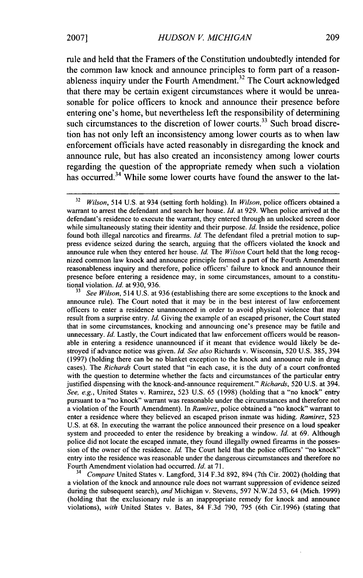rule and **held** that the Framers of the Constitution undoubtedly intended for the common law knock and announce principles to form part of a reasonableness inquiry under the Fourth Amendment.<sup>32</sup> The Court acknowledged that there may be certain exigent circumstances where it would be unreasonable for police officers to knock and announce their presence before entering one's home, but nevertheless left the responsibility of determining such circumstances to the discretion of lower courts.<sup>33</sup> Such broad discretion has not only left an inconsistency among lower courts as to when law enforcement officials have acted reasonably in disregarding the knock and announce rule, but has also created an inconsistency among lower courts regarding the question of the appropriate remedy when such a violation has occurred.<sup>34</sup> While some lower courts have found the answer to the lat-

**<sup>33</sup>***See Wilson,* 514 U.S. at 936 (establishing there are some exceptions to the knock and announce rule). The Court noted that it may be in the best interest of law enforcement officers to enter a residence unannounced in order to avoid physical violence that may result from a surprise entry. *Id.* Giving the example of an escaped prisoner, the Court stated that in some circumstances, knocking and announcing one's presence may be futile and unnecessary. *Id.* Lastly, the Court indicated that law enforcement officers would be reasonable in entering a residence unannounced if it meant that evidence would likely be destroyed if advance notice was given. *Id. See also* Richards v. Wisconsin, 520 U.S. 385, 394 (1997) (holding there can be no blanket exception to the knock and announce rule in drug cases). The *Richards* Court stated that "in each case, it is the duty of a court confronted with the question to determine whether the facts and circumstances of the particular entry justified dispensing with the knock-and-announce requirement." *Richards,* 520 U.S. at 394. *See, e.g.,* United States v. Ramirez, 523 U.S. 65 (1998) (holding that a "no knock" entry pursuant to a "no knock" warrant was reasonable under the circumstances and therefore not a violation of the Fourth Amendment). In *Ramirez,* police obtained a "no knock" warrant to enter a residence where they believed an escaped prison inmate was hiding. *Ramirez,* 523 U.S. at 68. In executing the warrant the police announced their presence on a loud speaker system and proceeded to enter the residence by breaking a window. *Id.* at 69. Although police did not locate the escaped inmate, they found illegally owned firearms in the possession of the owner of the residence. *Id.* The Court held that the police officers' "no knock" entry into the residence was reasonable under the dangerous circumstances and therefore no Fourth Amendment violation had occurred. *Id.* at 71.

**<sup>34</sup>***Compare* United States v. Langford, 314 F.3d 892, 894 (7th Cir. 2002) (holding that a violation of the knock and announce rule does not warrant suppression of evidence seized during the subsequent search), *and* Michigan v. Stevens, 597 N.W.2d 53, 64 (Mich. 1999) (holding that the exclusionary rule is an inappropriate remedy for knock and announce violations), *with* United States v. Bates, 84 F.3d 790, 795 (6th Cir.1996) (stating that

<sup>32</sup> *Wilson,* 514 U.S. at 934 (setting forth holding). In *Wilson,* police officers obtained a warrant to arrest the defendant and search her house. *Id.* at 929. When police arrived at the defendant's residence to execute the warrant, they entered through an unlocked screen door while simultaneously stating their identity and their purpose. *Id.* Inside the residence, police found both illegal narcotics and firearms. *Id.* The defendant filed a pretrial motion to suppress evidence seized during the search, arguing that the officers violated the knock and announce rule when they entered her house. *Id.* The *Wilson* Court held that the long recognized common law knock and announce principle formed a part of the Fourth Amendment reasonableness inquiry and therefore, police officers' failure to knock and announce their presence before entering a residence may, in some circumstances, amount to a constitutional violation. *Id.* at 930, 936.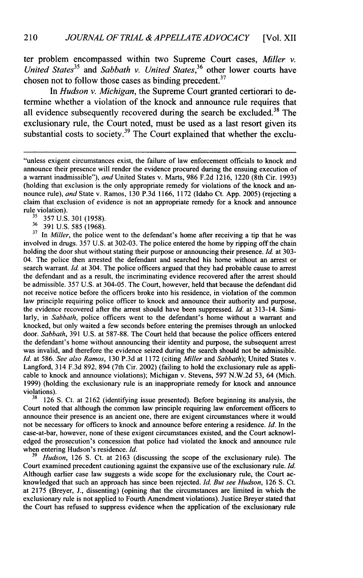ter problem encompassed within two Supreme Court cases, *Miller v. United States<sup>35</sup>*and *Sabbath v. United States,<sup>36</sup>*other lower courts have chosen not to follow those cases as binding precedent. $37$ 

In *Hudson v. Michigan,* the Supreme Court granted certiorari to determine whether a violation of the knock and announce rule requires that all evidence subsequently recovered during the search be excluded.<sup>38</sup> The exclusionary rule, the Court noted, must be used as a last resort given its substantial costs to society.<sup>39</sup> The Court explained that whether the exclu-

**<sup>37</sup>**In *Miller,* the police went to the defendant's home after receiving a tip that he was involved in drugs. 357 U.S. at 302-03. The police entered the home by ripping off the chain holding the door shut without stating their purpose or announcing their presence. *Id.* at 303- 04. The police then arrested the defendant and searched his home without an arrest or search warrant. *Id.* at 304. The police officers argued that they had probable cause to arrest the defendant and as a result, the incriminating evidence recovered after the arrest should be admissible. 357 U.S. at 304-05. The Court, however, held that because the defendant did not receive notice before the officers broke into his residence, in violation of the common law principle requiring police officer to knock and announce their authority and purpose, the evidence recovered after the arrest should have been suppressed. *Id.* at 313-14. Similarly, in *Sabbath,* police officers went to the defendant's home without a warrant and knocked, but only waited a few seconds before entering the premises through an unlocked door. *Sabbath,* 391 U.S. at 587-88. The Court held that because the police officers entered the defendant's home without announcing their identity and purpose, the subsequent arrest was invalid, and therefore the evidence seized during the search should not be admissible. *Id.* at 586. *See also Ramos,* 130 P.3d at 1172 (citing *Miller* and *Sabbath);* United States v. Langford, 314 F.3d 892, 894 (7th Cir. 2002) (failing to hold the exclusionary rule as applicable to knock and announce violations); Michigan v. Stevens, 597 N.W.2d 53, 64 (Mich. 1999) (holding the exclusionary rule is an inappropriate remedy for knock and announce violations).

**<sup>38</sup>**126 **S.** Ct. at 2162 (identifying issue presented). Before beginning its analysis, the Court noted that although the common law principle requiring law enforcement officers to announce their presence is an ancient one, there are exigent circumstances where it would not be necessary for officers to knock and announce before entering a residence. *Id.* In the case-at-bar, however, none of these exigent circumstances existed, and the Court acknowledged the prosecution's concession that police had violated the knock and announce rule when entering Hudson's residence. *Id.*

*Hudson*, 126 S. Ct. at 2163 (discussing the scope of the exclusionary rule). The Court examined precedent cautioning against the expansive use of the exclusionary rule. *Id.* Although earlier case law suggests a wide scope for the exclusionary rule, the Court acknowledged that such an approach has since been rejected. *Id. But see Hudson,* **126 S.** Ct. at **2175** (Breyer, J., dissenting) (opining that the circumstances are limited in which the exclusionary rule is not applied to Fourth Amendment violations). Justice Breyer stated that the Court has refused to suppress evidence when the application of the exclusionary rule

<sup>&</sup>quot;unless exigent circumstances exist, the failure of law enforcement officials to knock and announce their presence will render the evidence procured during the ensuing execution of a warrant inadmissible"), *and* United States v. Marts, 986 F.2d 1216, 1220 (8th Cir. 1993) (holding that exclusion is the only appropriate remedy for violations of the knock and announce rule), *and* State v. Ramos, 130 P.3d 1166, 1172 (Idaho Ct. App. 2005) (rejecting a claim that exclusion of evidence is not an appropriate remedy for a knock and announce rule violation).

**<sup>3&#</sup>x27;** 357 U.S. 301 (1958).

<sup>36 391</sup> U.S. 585 (1968).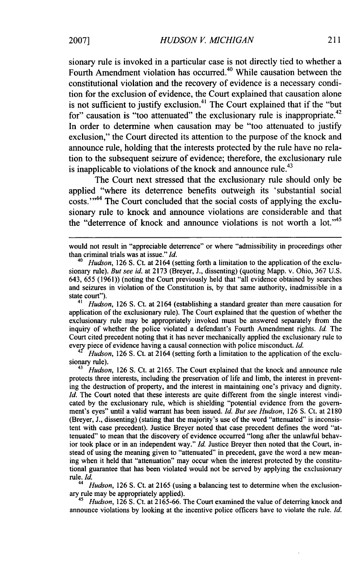sionary rule is invoked in a particular case is not directly tied to whether a Fourth Amendment violation has occurred.<sup>40</sup> While causation between the constitutional violation and the recovery of evidence is a necessary condition for the exclusion of evidence, the Court explained that causation alone is not sufficient to justify exclusion.<sup>41</sup> The Court explained that if the "but for" causation is "too attenuated" the exclusionary rule is inappropriate.<sup>42</sup> In order to determine when causation may be "too attenuated to justify exclusion," the Court directed its attention to the purpose of the knock and announce rule, holding that the interests protected by the rule have no relation to the subsequent seizure of evidence; therefore, the exclusionary rule is inapplicable to violations of the knock and announce rule.<sup>43</sup>

The Court next stressed that the exclusionary rule should only be applied "where its deterrence benefits outweigh its 'substantial social costs."<sup>44</sup> The Court concluded that the social costs of applying the exclusionary rule to knock and announce violations are considerable and that the "deterrence of knock and announce violations is not worth a lot."<sup>45</sup>

<sup>41</sup>*Hudson,* **126** S. Ct. at 2164 (establishing a standard greater than mere causation for application of the exclusionary rule). The Court explained that the question of whether the exclusionary rule may be appropriately invoked must be answered separately from the inquiry of whether the police violated a defendant's Fourth Amendment rights. *Id.* The Court cited precedent noting that it has never mechanically applied the exclusionary rule to every piece of evidence having a causal connection with police misconduct. *Id.* 

*Hudson,* **126** S. Ct. at 2164 (setting forth a limitation to the application of the exclusionary rule).

<sup>43</sup>*Hudson,* **126** S. Ct. at 2165. The Court explained that the knock and announce rule protects three interests, including the preservation of life and limb, the interest in preventing the destruction of property, and the interest in maintaining one's privacy and dignity. *Id.* The Court noted that these interests are quite different from the single interest vindicated **by** the exclusionary rule, which is shielding "potential evidence from the government's eyes" until a valid warrant has been issued. *Id. But see Hudson,* **126** S. Ct. at **2180** (Breyer, **J.,** dissenting) (stating that the majority's use of the word "attenuated" is inconsistent with case precedent). Justice Breyer noted that case precedent defines the word "attenuated" to mean that the discovery of evidence occurred "long after the unlawful behavior took place or in an independent way." *Id.* Justice Breyer then noted that the Court, instead of using the meaning given to "attenuated" in precedent, gave the word a new meaning when it held that "attenuation" may occur when the interest protected by the constitutional guarantee that has been violated would not be served by applying the exclusionary rule. *Id.*

*Hudson*, 126 S. Ct. at 2165 (using a balancing test to determine when the exclusionary rule may be appropriately applied).

<sup>5</sup> Hudson, 126 S. Ct. at 2165-66. The Court examined the value of deterring knock and announce violations by looking at the incentive police officers have to violate the rule. *Id.*

would not result in "appreciable deterrence" or where "admissibility in proceedings other than criminal trials was at issue." *Id.*

<sup>40</sup> *Hudson,* 126 S. Ct. at 2164 (setting forth a limitation to the application of the exclusionary rule). *But see id.* at 2173 (Breyer, J., dissenting) (quoting Mapp. v. Ohio, 367 U.S. 643, 655 (1961)) (noting the Court previously held that "all evidence obtained by searches and seizures in violation of the Constitution is, by that same authority, inadmissible in a state court").<br> $\frac{41}{1}$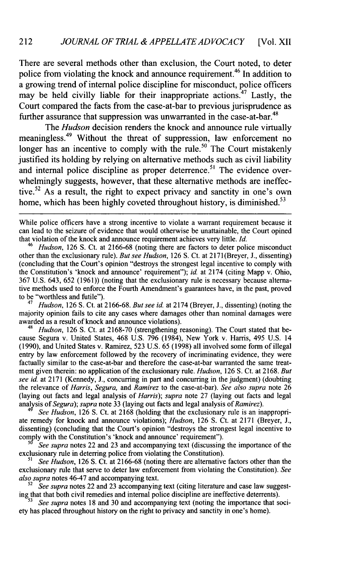There are several methods other than exclusion, the Court noted, to deter police from violating the knock and announce requirement.<sup>46</sup> In addition to a growing trend of internal police discipline for misconduct, police officers may be held civilly liable for their inappropriate actions.<sup>47</sup> Lastly, the Court compared the facts from the case-at-bar to previous jurisprudence as further assurance that suppression was unwarranted in the case-at-bar.<sup>48</sup>

The *Hudson* decision renders the knock and announce rule virtually meaningless.<sup>49</sup> Without the threat of suppression, law enforcement no longer has an incentive to comply with the rule.<sup>50</sup> The Court mistakenly justified its holding by relying on alternative methods such as civil liability and internal police discipline as proper deterrence.<sup>51</sup> The evidence overwhelmingly suggests, however, that these alternative methods are ineffective.<sup>52</sup> As a result, the right to expect privacy and sanctity in one's own home, which has been highly coveted throughout history, is diminished.<sup>53</sup>

While police officers have a strong incentive to violate a warrant requirement because it can lead to the seizure of evidence that would otherwise be unattainable, the Court opined that violation of the knock and announce requirement achieves very little. *Id.*

<sup>46</sup>*Hudson,* 126 S. Ct. at 2166-68 (noting there are factors to deter police misconduct other than the exclusionary rule). *But see Hudson,* 126 S. Ct. at 2171 (Breyer, **J.,** dissenting) (concluding that the Court's opinion "destroys the strongest legal incentive to comply with the Constitution's 'knock and announce' requirement"); *id* at 2174 (citing Mapp v. Ohio, 367 U.S. 643, 652 (1961)) (noting that the exclusionary rule is necessary because alternative methods used to enforce the Fourth Amendment's guarantees have, in the past, proved to be "worthless and futile").

<sup>47</sup>*Hudson,* 126 S. Ct. at 2166-68. *But see id.* at 2174 (Breyer, **J.,** dissenting) (noting the majority opinion fails to cite any cases where damages other than nominal damages were awarded as a result of knock and announce violations).

Hudson, 126 S. Ct. at 2168-70 (strengthening reasoning). The Court stated that because Segura v. United States, 468 U.S. 796 (1984), New York v. Harris, 495 U.S. 14 (1990), and United States v. Ramirez, 523 U.S. 65 (1998) all involved some form of illegal entry by law enforcement followed by the recovery of incriminating evidence, they were factually similar to the case-at-bar and therefore the case-at-bar warranted the same treatment given therein: no application of the exclusionary rule. *Hudson,* 126 **S.** Ct. at 2168. *But see id.* at 2171 (Kennedy, **J.,** concurring in part and concurring in the judgment) (doubting the relevance of *Harris, Segura,* and *Ramirez* to the case-at-bar). *See also supra* note 26 (laying out facts and legal analysis of *Harris); supra* note 27 (laying out facts and legal analysis *of Segura); supra* note 33 (laying out facts and legal analysis *of Ramirez).*

See Hudson, 126 S. Ct. at 2168 (holding that the exclusionary rule is an inappropriate remedy for knock and announce violations); *Hudson,* 126 **S.** Ct. at 2171 (Breyer, J., dissenting) (concluding that the Court's opinion "destroys the strongest legal incentive to comply with the Constitution's 'knock and announce' requirement").

*5 See supra* notes 22 and 23 and accompanying text (discussing the importance of the exclusionary rule in deterring police from violating the Constitution).

*51 See Hudson,* 126 **S.** Ct. at 2166-68 (noting there are alternative factors other than the exclusionary rule that serve to deter law enforcement from violating the Constitution). *See also supra* notes 46-47 and accompanying text.

52 *See supra* notes 22 and 23 accompanying text (citing literature and case law suggesting that that both civil remedies and internal police discipline are ineffective deterrents).

*See supra* notes 18 and 30 and accompanying text (noting the importance that society has placed throughout history on the right to privacy and sanctity in one's home).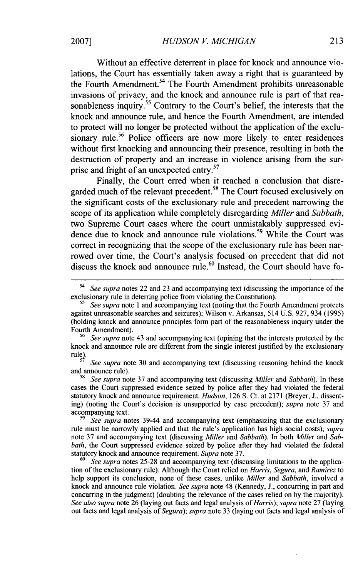Without an effective deterrent in place for knock and announce violations, the Court has essentially taken away a right that is guaranteed by the Fourth Amendment.<sup>54</sup> The Fourth Amendment prohibits unreasonable invasions of privacy, and the knock and announce rule is part of that reasonableness inquiry.<sup>55</sup> Contrary to the Court's belief, the interests that the knock and announce rule, and hence the Fourth Amendment, are intended to protect will no longer be protected without the application of the exclusionary rule.<sup>56</sup> Police officers are now more likely to enter residences without first knocking and announcing their presence, resulting in both the destruction of property and an increase in violence arising from the surprise and fright of an unexpected entry.<sup>57</sup>

Finally, the Court erred when it reached a conclusion that disregarded much of the relevant precedent.<sup>58</sup> The Court focused exclusively on the significant costs of the exclusionary rule and precedent narrowing the scope of its application while completely disregarding *Miller* and *Sabbath,* two Supreme Court cases where the court unmistakably suppressed evidence due to knock and announce rule violations.<sup>59</sup> While the Court was correct in recognizing that the scope of the exclusionary rule has been narrowed over time, the Court's analysis focused on precedent that did not discuss the knock and announce rule.<sup>60</sup> Instead, the Court should have fo-

**<sup>59</sup>***See supra* notes 39-44 and accompanying text (emphasizing that the exclusionary rule must be narrowly applied and that the rule's application has high social costs); *supra* note 37 and accompanying text (discussing *Miller* and *Sabbath).* In both *Miller* and *Sabbath*, the Court suppressed evidence seized by police after they had violated the federal statutory knock and announce requirement. *Supra* note 37.

**60** *See supra* notes 25-28 and accompanying text (discussing limitations to the application of the exclusionary rule). Although the Court relied on *Harris, Segura,* and *Ramirez* to help support its conclusion, none of these cases, unlike *Miller* and *Sabbath,* involved a knock and announce rule violation. *See supra* note 48 (Kennedy, J., concurring in part and concurring in the judgment) (doubting the relevance of the cases relied on by the majority). *See also supra* note 26 (laying out facts and legal analysis of *Harris); supra* note 27 (laying out facts and legal analysis of *Segura); supra* note 33 (laying out facts and legal analysis of

*<sup>54</sup>See supra* notes 22 and 23 and accompanying text (discussing the importance of the exclusionary rule in deterring police from violating the Constitution).

*<sup>55</sup>See supra* note 1 and accompanying text (noting that the Fourth Amendment protects against unreasonable searches and seizures); Wilson v. Arkansas, 514 U.S. 927, 934 (1995) (holding knock and announce principles form part of the reasonableness inquiry under the Fourth Amendment).

**<sup>56</sup>***See supra* note 43 and accompanying text (opining that the interests protected by the knock and announce rule are different from the single interest justified by the exclusionary rule).<br><sup>57</sup> *See supra* note 30 and accompanying text (discussing reasoning behind the knock

and announce rule). **<sup>58</sup>***See supra* note 37 and accompanying text (discussing *Miller* and *Sabbath).* In these

cases the Court suppressed evidence seized by police after they had violated the federal statutory knock and announce requirement. *Hudson,* 126 S. Ct. at 2171 (Breyer, **J.,** dissenting) (noting the Court's decision is unsupported by case precedent); *supra* note 37 and accompanying text.